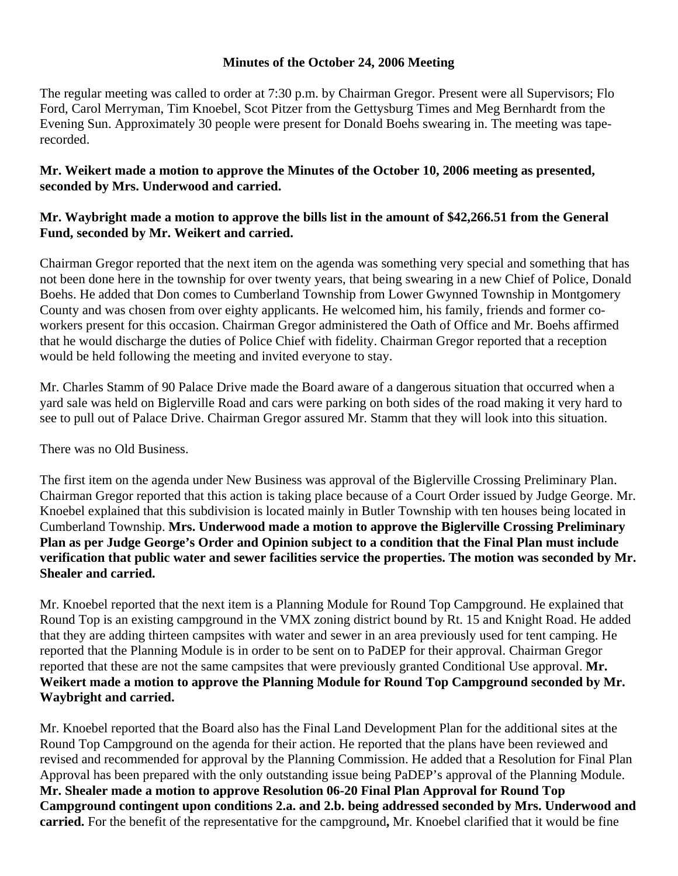## **Minutes of the October 24, 2006 Meeting**

The regular meeting was called to order at 7:30 p.m. by Chairman Gregor. Present were all Supervisors; Flo Ford, Carol Merryman, Tim Knoebel, Scot Pitzer from the Gettysburg Times and Meg Bernhardt from the Evening Sun. Approximately 30 people were present for Donald Boehs swearing in. The meeting was taperecorded.

## **Mr. Weikert made a motion to approve the Minutes of the October 10, 2006 meeting as presented, seconded by Mrs. Underwood and carried.**

## **Mr. Waybright made a motion to approve the bills list in the amount of \$42,266.51 from the General Fund, seconded by Mr. Weikert and carried.**

Chairman Gregor reported that the next item on the agenda was something very special and something that has not been done here in the township for over twenty years, that being swearing in a new Chief of Police, Donald Boehs. He added that Don comes to Cumberland Township from Lower Gwynned Township in Montgomery County and was chosen from over eighty applicants. He welcomed him, his family, friends and former coworkers present for this occasion. Chairman Gregor administered the Oath of Office and Mr. Boehs affirmed that he would discharge the duties of Police Chief with fidelity. Chairman Gregor reported that a reception would be held following the meeting and invited everyone to stay.

Mr. Charles Stamm of 90 Palace Drive made the Board aware of a dangerous situation that occurred when a yard sale was held on Biglerville Road and cars were parking on both sides of the road making it very hard to see to pull out of Palace Drive. Chairman Gregor assured Mr. Stamm that they will look into this situation.

There was no Old Business.

The first item on the agenda under New Business was approval of the Biglerville Crossing Preliminary Plan. Chairman Gregor reported that this action is taking place because of a Court Order issued by Judge George. Mr. Knoebel explained that this subdivision is located mainly in Butler Township with ten houses being located in Cumberland Township. **Mrs. Underwood made a motion to approve the Biglerville Crossing Preliminary Plan as per Judge George's Order and Opinion subject to a condition that the Final Plan must include verification that public water and sewer facilities service the properties. The motion was seconded by Mr. Shealer and carried.** 

Mr. Knoebel reported that the next item is a Planning Module for Round Top Campground. He explained that Round Top is an existing campground in the VMX zoning district bound by Rt. 15 and Knight Road. He added that they are adding thirteen campsites with water and sewer in an area previously used for tent camping. He reported that the Planning Module is in order to be sent on to PaDEP for their approval. Chairman Gregor reported that these are not the same campsites that were previously granted Conditional Use approval. **Mr. Weikert made a motion to approve the Planning Module for Round Top Campground seconded by Mr. Waybright and carried.** 

Mr. Knoebel reported that the Board also has the Final Land Development Plan for the additional sites at the Round Top Campground on the agenda for their action. He reported that the plans have been reviewed and revised and recommended for approval by the Planning Commission. He added that a Resolution for Final Plan Approval has been prepared with the only outstanding issue being PaDEP's approval of the Planning Module. **Mr. Shealer made a motion to approve Resolution 06-20 Final Plan Approval for Round Top Campground contingent upon conditions 2.a. and 2.b. being addressed seconded by Mrs. Underwood and carried.** For the benefit of the representative for the campground**,** Mr. Knoebel clarified that it would be fine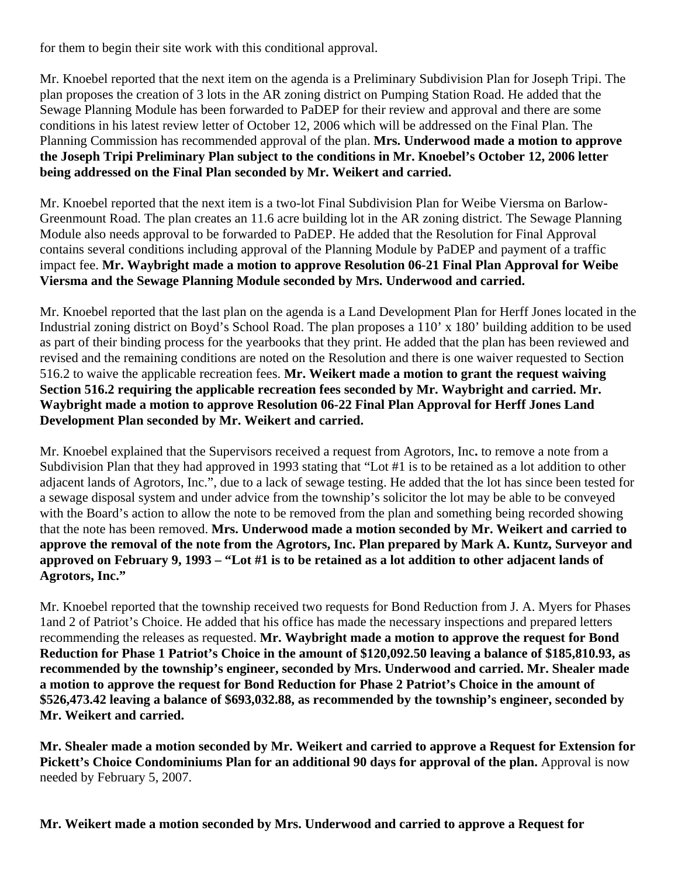for them to begin their site work with this conditional approval.

Mr. Knoebel reported that the next item on the agenda is a Preliminary Subdivision Plan for Joseph Tripi. The plan proposes the creation of 3 lots in the AR zoning district on Pumping Station Road. He added that the Sewage Planning Module has been forwarded to PaDEP for their review and approval and there are some conditions in his latest review letter of October 12, 2006 which will be addressed on the Final Plan. The Planning Commission has recommended approval of the plan. **Mrs. Underwood made a motion to approve the Joseph Tripi Preliminary Plan subject to the conditions in Mr. Knoebel's October 12, 2006 letter being addressed on the Final Plan seconded by Mr. Weikert and carried.** 

Mr. Knoebel reported that the next item is a two-lot Final Subdivision Plan for Weibe Viersma on Barlow-Greenmount Road. The plan creates an 11.6 acre building lot in the AR zoning district. The Sewage Planning Module also needs approval to be forwarded to PaDEP. He added that the Resolution for Final Approval contains several conditions including approval of the Planning Module by PaDEP and payment of a traffic impact fee. **Mr. Waybright made a motion to approve Resolution 06-21 Final Plan Approval for Weibe Viersma and the Sewage Planning Module seconded by Mrs. Underwood and carried.** 

Mr. Knoebel reported that the last plan on the agenda is a Land Development Plan for Herff Jones located in the Industrial zoning district on Boyd's School Road. The plan proposes a 110' x 180' building addition to be used as part of their binding process for the yearbooks that they print. He added that the plan has been reviewed and revised and the remaining conditions are noted on the Resolution and there is one waiver requested to Section 516.2 to waive the applicable recreation fees. **Mr. Weikert made a motion to grant the request waiving Section 516.2 requiring the applicable recreation fees seconded by Mr. Waybright and carried. Mr. Waybright made a motion to approve Resolution 06-22 Final Plan Approval for Herff Jones Land Development Plan seconded by Mr. Weikert and carried.** 

Mr. Knoebel explained that the Supervisors received a request from Agrotors, Inc**.** to remove a note from a Subdivision Plan that they had approved in 1993 stating that "Lot #1 is to be retained as a lot addition to other adjacent lands of Agrotors, Inc.", due to a lack of sewage testing. He added that the lot has since been tested for a sewage disposal system and under advice from the township's solicitor the lot may be able to be conveyed with the Board's action to allow the note to be removed from the plan and something being recorded showing that the note has been removed. **Mrs. Underwood made a motion seconded by Mr. Weikert and carried to approve the removal of the note from the Agrotors, Inc. Plan prepared by Mark A. Kuntz, Surveyor and approved on February 9, 1993 – "Lot #1 is to be retained as a lot addition to other adjacent lands of Agrotors, Inc."** 

Mr. Knoebel reported that the township received two requests for Bond Reduction from J. A. Myers for Phases 1and 2 of Patriot's Choice. He added that his office has made the necessary inspections and prepared letters recommending the releases as requested. **Mr. Waybright made a motion to approve the request for Bond Reduction for Phase 1 Patriot's Choice in the amount of \$120,092.50 leaving a balance of \$185,810.93, as recommended by the township's engineer, seconded by Mrs. Underwood and carried. Mr. Shealer made a motion to approve the request for Bond Reduction for Phase 2 Patriot's Choice in the amount of \$526,473.42 leaving a balance of \$693,032.88, as recommended by the township's engineer, seconded by Mr. Weikert and carried.** 

**Mr. Shealer made a motion seconded by Mr. Weikert and carried to approve a Request for Extension for**  Pickett's Choice Condominiums Plan for an additional 90 days for approval of the plan. Approval is now needed by February 5, 2007.

**Mr. Weikert made a motion seconded by Mrs. Underwood and carried to approve a Request for**